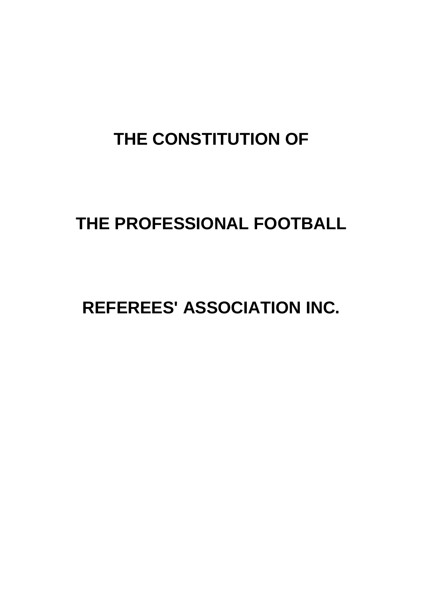# **THE CONSTITUTION OF**

# **THE PROFESSIONAL FOOTBALL**

# **REFEREES' ASSOCIATION INC.**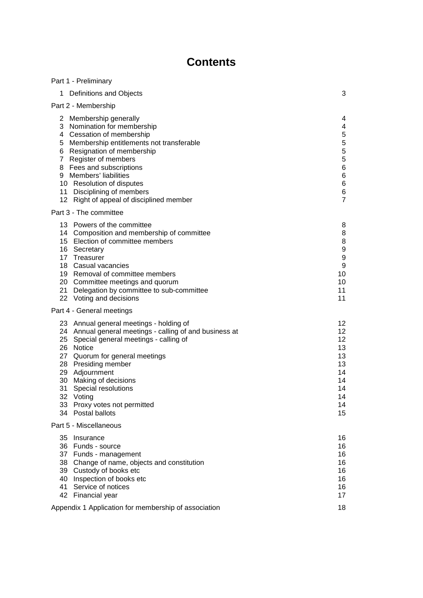# **Contents**

| Part 1 - Preliminary                                                                                                                                                                                                                                                                                                                                            |                                                                                                  |
|-----------------------------------------------------------------------------------------------------------------------------------------------------------------------------------------------------------------------------------------------------------------------------------------------------------------------------------------------------------------|--------------------------------------------------------------------------------------------------|
| Definitions and Objects<br>1                                                                                                                                                                                                                                                                                                                                    | 3                                                                                                |
| Part 2 - Membership                                                                                                                                                                                                                                                                                                                                             |                                                                                                  |
| 2 Membership generally<br>3 Nomination for membership<br>4 Cessation of membership<br>Membership entitlements not transferable<br>5.<br>Resignation of membership<br>6<br>Register of members<br>7<br>8 Fees and subscriptions<br>9 Members' liabilities<br>10 Resolution of disputes<br>11 Disciplining of members<br>12 Right of appeal of disciplined member | 4<br>4<br>5<br>5<br>5<br>5<br>$6\phantom{1}6$<br>$6\phantom{1}6$<br>6<br>$\,6$<br>$\overline{7}$ |
| Part 3 - The committee                                                                                                                                                                                                                                                                                                                                          |                                                                                                  |
| 13 Powers of the committee<br>14 Composition and membership of committee<br>15 Election of committee members<br>16 Secretary<br>17 Treasurer<br>18 Casual vacancies<br>19 Removal of committee members<br>20 Committee meetings and quorum<br>21 Delegation by committee to sub-committee<br>22 Voting and decisions                                            | 8<br>8<br>8<br>9<br>9<br>9<br>10<br>10<br>11<br>11                                               |
| Part 4 - General meetings                                                                                                                                                                                                                                                                                                                                       |                                                                                                  |
| 23 Annual general meetings - holding of<br>24 Annual general meetings - calling of and business at<br>25 Special general meetings - calling of<br>26 Notice<br>27 Quorum for general meetings<br>28 Presiding member<br>29 Adjournment<br>30 Making of decisions<br>31<br>Special resolutions<br>32 Voting<br>33 Proxy votes not permitted<br>34 Postal ballots | 12<br>12<br>12<br>13<br>13<br>13<br>14<br>14<br>14<br>14<br>14<br>15                             |
| Part 5 - Miscellaneous                                                                                                                                                                                                                                                                                                                                          |                                                                                                  |
| 35 Insurance<br>36 Funds - source<br>37 Funds - management<br>38 Change of name, objects and constitution<br>39 Custody of books etc<br>40 Inspection of books etc<br>Service of notices<br>41<br>42 Financial year                                                                                                                                             | 16<br>16<br>16<br>16<br>16<br>16<br>16<br>17                                                     |
| Appendix 1 Application for membership of association                                                                                                                                                                                                                                                                                                            | 18                                                                                               |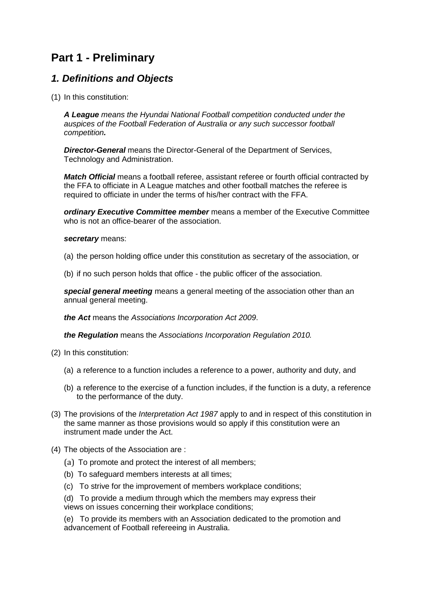# **Part 1 - Preliminary**

# *1. Definitions and Objects*

(1) In this constitution:

*A League means the Hyundai National Football competition conducted under the auspices of the Football Federation of Australia or any such successor football competition.*

*Director-General* means the Director-General of the Department of Services, Technology and Administration.

*Match Official* means a football referee, assistant referee or fourth official contracted by the FFA to officiate in A League matches and other football matches the referee is required to officiate in under the terms of his/her contract with the FFA.

*ordinary Executive Committee member* means a member of the Executive Committee who is not an office-bearer of the association.

#### *secretary* means:

- (a) the person holding office under this constitution as secretary of the association, or
- (b) if no such person holds that office the public officer of the association.

*special general meeting* means a general meeting of the association other than an annual general meeting.

*the Act* means the *Associations Incorporation Act 2009*.

*the Regulation* means the *Associations Incorporation Regulation 2010.*

- (2) In this constitution:
	- (a) a reference to a function includes a reference to a power, authority and duty, and
	- (b) a reference to the exercise of a function includes, if the function is a duty, a reference to the performance of the duty.
- (3) The provisions of the *Interpretation Act 1987* apply to and in respect of this constitution in the same manner as those provisions would so apply if this constitution were an instrument made under the Act.
- (4) The objects of the Association are :
	- (a) To promote and protect the interest of all members;
	- (b) To safeguard members interests at all times;
	- (c) To strive for the improvement of members workplace conditions;
	- (d) To provide a medium through which the members may express their views on issues concerning their workplace conditions;

(e) To provide its members with an Association dedicated to the promotion and advancement of Football refereeing in Australia.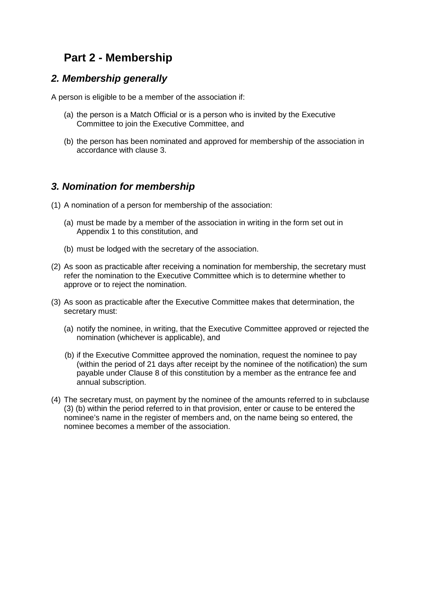# **Part 2 - Membership**

#### *2. Membership generally*

A person is eligible to be a member of the association if:

- (a) the person is a Match Official or is a person who is invited by the Executive Committee to join the Executive Committee, and
- (b) the person has been nominated and approved for membership of the association in accordance with clause 3.

## *3. Nomination for membership*

- (1) A nomination of a person for membership of the association:
	- (a) must be made by a member of the association in writing in the form set out in Appendix 1 to this constitution, and
	- (b) must be lodged with the secretary of the association.
- (2) As soon as practicable after receiving a nomination for membership, the secretary must refer the nomination to the Executive Committee which is to determine whether to approve or to reject the nomination.
- (3) As soon as practicable after the Executive Committee makes that determination, the secretary must:
	- (a) notify the nominee, in writing, that the Executive Committee approved or rejected the nomination (whichever is applicable), and
	- (b) if the Executive Committee approved the nomination, request the nominee to pay (within the period of 21 days after receipt by the nominee of the notification) the sum payable under Clause 8 of this constitution by a member as the entrance fee and annual subscription.
- (4) The secretary must, on payment by the nominee of the amounts referred to in subclause (3) (b) within the period referred to in that provision, enter or cause to be entered the nominee's name in the register of members and, on the name being so entered, the nominee becomes a member of the association.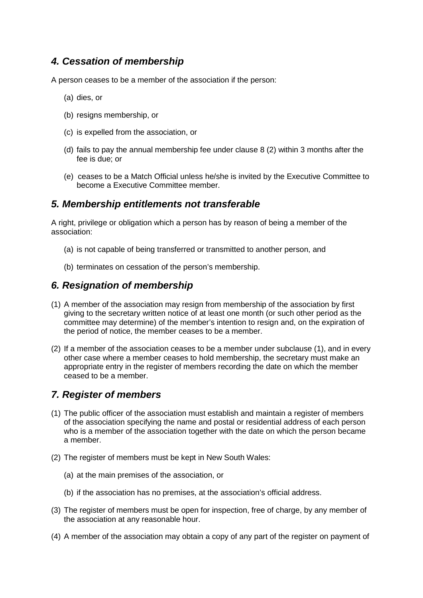# *4. Cessation of membership*

A person ceases to be a member of the association if the person:

- (a) dies, or
- (b) resigns membership, or
- (c) is expelled from the association, or
- (d) fails to pay the annual membership fee under clause 8 (2) within 3 months after the fee is due; or
- (e) ceases to be a Match Official unless he/she is invited by the Executive Committee to become a Executive Committee member.

### *5. Membership entitlements not transferable*

A right, privilege or obligation which a person has by reason of being a member of the association:

- (a) is not capable of being transferred or transmitted to another person, and
- (b) terminates on cessation of the person's membership.

### *6. Resignation of membership*

- (1) A member of the association may resign from membership of the association by first giving to the secretary written notice of at least one month (or such other period as the committee may determine) of the member's intention to resign and, on the expiration of the period of notice, the member ceases to be a member.
- (2) If a member of the association ceases to be a member under subclause (1), and in every other case where a member ceases to hold membership, the secretary must make an appropriate entry in the register of members recording the date on which the member ceased to be a member.

### *7. Register of members*

- (1) The public officer of the association must establish and maintain a register of members of the association specifying the name and postal or residential address of each person who is a member of the association together with the date on which the person became a member.
- (2) The register of members must be kept in New South Wales:
	- (a) at the main premises of the association, or
	- (b) if the association has no premises, at the association's official address.
- (3) The register of members must be open for inspection, free of charge, by any member of the association at any reasonable hour.
- (4) A member of the association may obtain a copy of any part of the register on payment of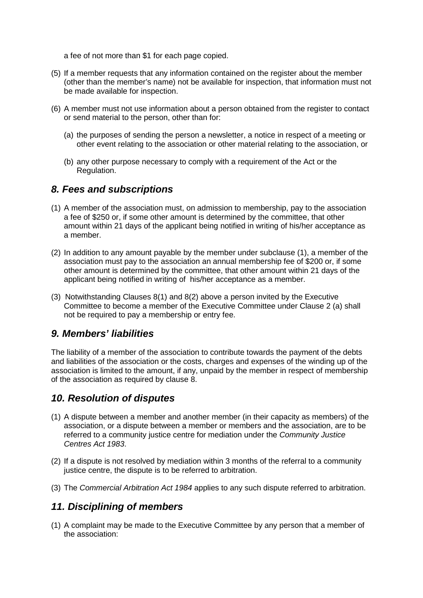a fee of not more than \$1 for each page copied.

- (5) If a member requests that any information contained on the register about the member (other than the member's name) not be available for inspection, that information must not be made available for inspection.
- (6) A member must not use information about a person obtained from the register to contact or send material to the person, other than for:
	- (a) the purposes of sending the person a newsletter, a notice in respect of a meeting or other event relating to the association or other material relating to the association, or
	- (b) any other purpose necessary to comply with a requirement of the Act or the Regulation.

#### *8. Fees and subscriptions*

- (1) A member of the association must, on admission to membership, pay to the association a fee of \$250 or, if some other amount is determined by the committee, that other amount within 21 days of the applicant being notified in writing of his/her acceptance as a member.
- (2) In addition to any amount payable by the member under subclause (1), a member of the association must pay to the association an annual membership fee of \$200 or, if some other amount is determined by the committee, that other amount within 21 days of the applicant being notified in writing of his/her acceptance as a member.
- (3) Notwithstanding Clauses 8(1) and 8(2) above a person invited by the Executive Committee to become a member of the Executive Committee under Clause 2 (a) shall not be required to pay a membership or entry fee.

### *9. Members' liabilities*

The liability of a member of the association to contribute towards the payment of the debts and liabilities of the association or the costs, charges and expenses of the winding up of the association is limited to the amount, if any, unpaid by the member in respect of membership of the association as required by clause 8.

# *10. Resolution of disputes*

- (1) A dispute between a member and another member (in their capacity as members) of the association, or a dispute between a member or members and the association, are to be referred to a community justice centre for mediation under the *Community Justice Centres Act 1983*.
- (2) If a dispute is not resolved by mediation within 3 months of the referral to a community justice centre, the dispute is to be referred to arbitration.
- (3) The *Commercial Arbitration Act 1984* applies to any such dispute referred to arbitration.

#### *11. Disciplining of members*

(1) A complaint may be made to the Executive Committee by any person that a member of the association: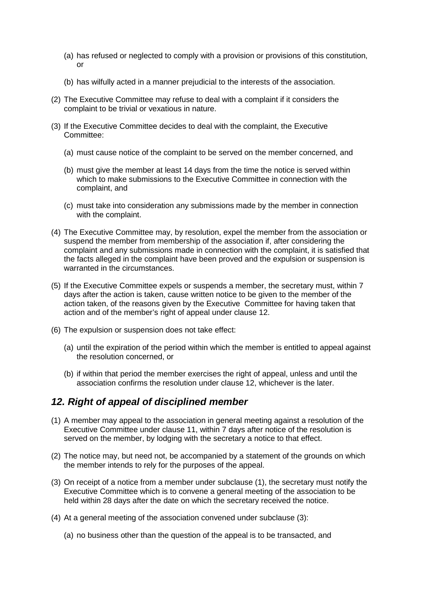- (a) has refused or neglected to comply with a provision or provisions of this constitution,  $\alpha$ r
- (b) has wilfully acted in a manner prejudicial to the interests of the association.
- (2) The Executive Committee may refuse to deal with a complaint if it considers the complaint to be trivial or vexatious in nature.
- (3) If the Executive Committee decides to deal with the complaint, the Executive Committee:
	- (a) must cause notice of the complaint to be served on the member concerned, and
	- (b) must give the member at least 14 days from the time the notice is served within which to make submissions to the Executive Committee in connection with the complaint, and
	- (c) must take into consideration any submissions made by the member in connection with the complaint.
- (4) The Executive Committee may, by resolution, expel the member from the association or suspend the member from membership of the association if, after considering the complaint and any submissions made in connection with the complaint, it is satisfied that the facts alleged in the complaint have been proved and the expulsion or suspension is warranted in the circumstances.
- (5) If the Executive Committee expels or suspends a member, the secretary must, within 7 days after the action is taken, cause written notice to be given to the member of the action taken, of the reasons given by the Executive Committee for having taken that action and of the member's right of appeal under clause 12.
- (6) The expulsion or suspension does not take effect:
	- (a) until the expiration of the period within which the member is entitled to appeal against the resolution concerned, or
	- (b) if within that period the member exercises the right of appeal, unless and until the association confirms the resolution under clause 12, whichever is the later.

### *12. Right of appeal of disciplined member*

- (1) A member may appeal to the association in general meeting against a resolution of the Executive Committee under clause 11, within 7 days after notice of the resolution is served on the member, by lodging with the secretary a notice to that effect.
- (2) The notice may, but need not, be accompanied by a statement of the grounds on which the member intends to rely for the purposes of the appeal.
- (3) On receipt of a notice from a member under subclause (1), the secretary must notify the Executive Committee which is to convene a general meeting of the association to be held within 28 days after the date on which the secretary received the notice.
- (4) At a general meeting of the association convened under subclause (3):
	- (a) no business other than the question of the appeal is to be transacted, and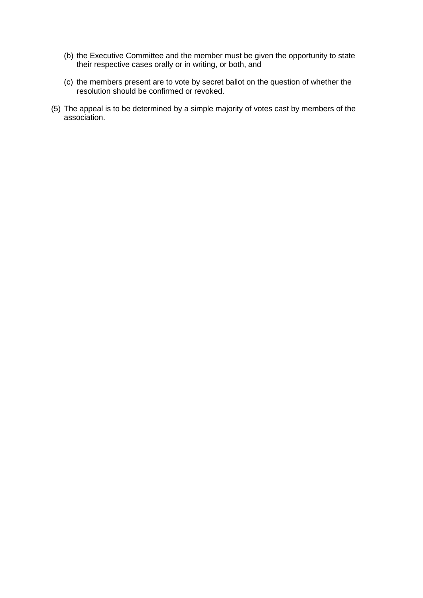- (b) the Executive Committee and the member must be given the opportunity to state their respective cases orally or in writing, or both, and
- (c) the members present are to vote by secret ballot on the question of whether the resolution should be confirmed or revoked.
- (5) The appeal is to be determined by a simple majority of votes cast by members of the association.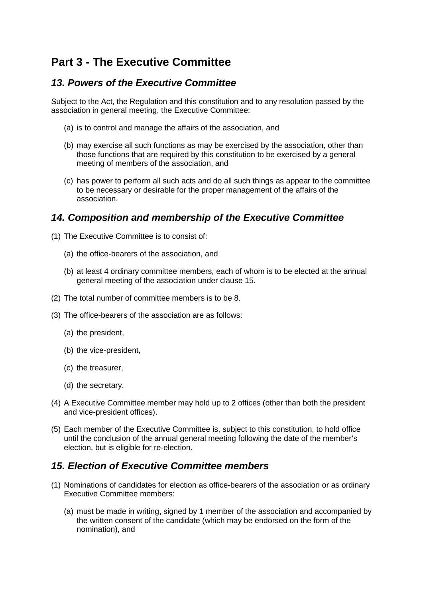# **Part 3 - The Executive Committee**

# *13. Powers of the Executive Committee*

Subject to the Act, the Regulation and this constitution and to any resolution passed by the association in general meeting, the Executive Committee:

- (a) is to control and manage the affairs of the association, and
- (b) may exercise all such functions as may be exercised by the association, other than those functions that are required by this constitution to be exercised by a general meeting of members of the association, and
- (c) has power to perform all such acts and do all such things as appear to the committee to be necessary or desirable for the proper management of the affairs of the association.

# *14. Composition and membership of the Executive Committee*

- (1) The Executive Committee is to consist of:
	- (a) the office-bearers of the association, and
	- (b) at least 4 ordinary committee members, each of whom is to be elected at the annual general meeting of the association under clause 15.
- (2) The total number of committee members is to be 8.
- (3) The office-bearers of the association are as follows:
	- (a) the president,
	- (b) the vice-president,
	- (c) the treasurer,
	- (d) the secretary.
- (4) A Executive Committee member may hold up to 2 offices (other than both the president and vice-president offices).
- (5) Each member of the Executive Committee is, subject to this constitution, to hold office until the conclusion of the annual general meeting following the date of the member's election, but is eligible for re-election.

# *15. Election of Executive Committee members*

- (1) Nominations of candidates for election as office-bearers of the association or as ordinary Executive Committee members:
	- (a) must be made in writing, signed by 1 member of the association and accompanied by the written consent of the candidate (which may be endorsed on the form of the nomination), and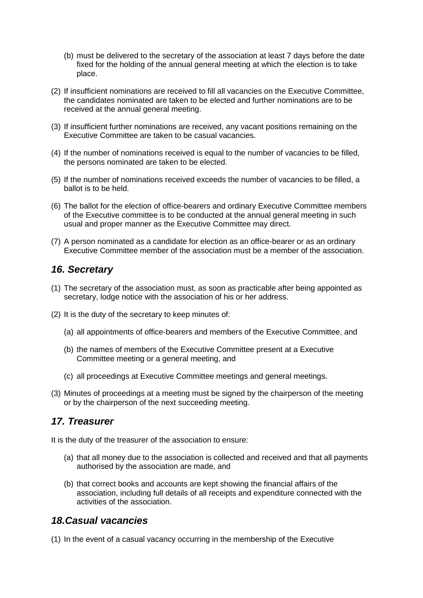- (b) must be delivered to the secretary of the association at least 7 days before the date fixed for the holding of the annual general meeting at which the election is to take place.
- (2) If insufficient nominations are received to fill all vacancies on the Executive Committee, the candidates nominated are taken to be elected and further nominations are to be received at the annual general meeting.
- (3) If insufficient further nominations are received, any vacant positions remaining on the Executive Committee are taken to be casual vacancies.
- (4) If the number of nominations received is equal to the number of vacancies to be filled, the persons nominated are taken to be elected.
- (5) If the number of nominations received exceeds the number of vacancies to be filled, a ballot is to be held.
- (6) The ballot for the election of office-bearers and ordinary Executive Committee members of the Executive committee is to be conducted at the annual general meeting in such usual and proper manner as the Executive Committee may direct.
- (7) A person nominated as a candidate for election as an office-bearer or as an ordinary Executive Committee member of the association must be a member of the association.

#### *16. Secretary*

- (1) The secretary of the association must, as soon as practicable after being appointed as secretary, lodge notice with the association of his or her address.
- (2) It is the duty of the secretary to keep minutes of:
	- (a) all appointments of office-bearers and members of the Executive Committee, and
	- (b) the names of members of the Executive Committee present at a Executive Committee meeting or a general meeting, and
	- (c) all proceedings at Executive Committee meetings and general meetings.
- (3) Minutes of proceedings at a meeting must be signed by the chairperson of the meeting or by the chairperson of the next succeeding meeting.

#### *17. Treasurer*

It is the duty of the treasurer of the association to ensure:

- (a) that all money due to the association is collected and received and that all payments authorised by the association are made, and
- (b) that correct books and accounts are kept showing the financial affairs of the association, including full details of all receipts and expenditure connected with the activities of the association.

### *18.Casual vacancies*

(1) In the event of a casual vacancy occurring in the membership of the Executive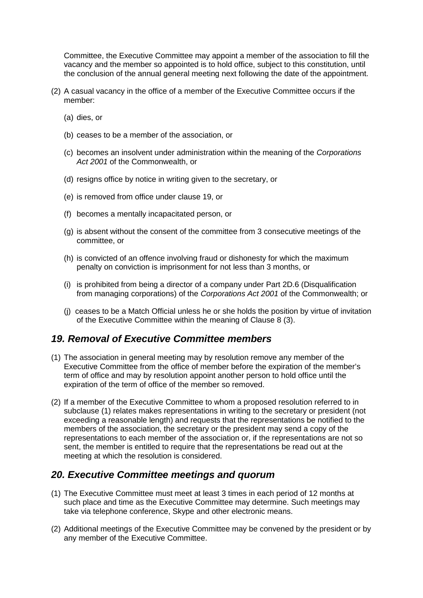Committee, the Executive Committee may appoint a member of the association to fill the vacancy and the member so appointed is to hold office, subject to this constitution, until the conclusion of the annual general meeting next following the date of the appointment.

- (2) A casual vacancy in the office of a member of the Executive Committee occurs if the member:
	- (a) dies, or
	- (b) ceases to be a member of the association, or
	- (c) becomes an insolvent under administration within the meaning of the *Corporations Act 2001* of the Commonwealth, or
	- (d) resigns office by notice in writing given to the secretary, or
	- (e) is removed from office under clause 19, or
	- (f) becomes a mentally incapacitated person, or
	- (g) is absent without the consent of the committee from 3 consecutive meetings of the committee, or
	- (h) is convicted of an offence involving fraud or dishonesty for which the maximum penalty on conviction is imprisonment for not less than 3 months, or
	- (i) is prohibited from being a director of a company under Part 2D.6 (Disqualification from managing corporations) of the *Corporations Act 2001* of the Commonwealth; or
	- (j) ceases to be a Match Official unless he or she holds the position by virtue of invitation of the Executive Committee within the meaning of Clause 8 (3).

### *19. Removal of Executive Committee members*

- (1) The association in general meeting may by resolution remove any member of the Executive Committee from the office of member before the expiration of the member's term of office and may by resolution appoint another person to hold office until the expiration of the term of office of the member so removed.
- (2) If a member of the Executive Committee to whom a proposed resolution referred to in subclause (1) relates makes representations in writing to the secretary or president (not exceeding a reasonable length) and requests that the representations be notified to the members of the association, the secretary or the president may send a copy of the representations to each member of the association or, if the representations are not so sent, the member is entitled to require that the representations be read out at the meeting at which the resolution is considered.

#### *20. Executive Committee meetings and quorum*

- (1) The Executive Committee must meet at least 3 times in each period of 12 months at such place and time as the Executive Committee may determine. Such meetings may take via telephone conference, Skype and other electronic means.
- (2) Additional meetings of the Executive Committee may be convened by the president or by any member of the Executive Committee.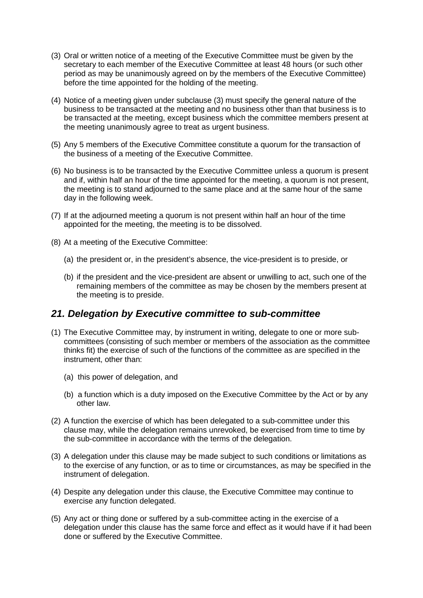- (3) Oral or written notice of a meeting of the Executive Committee must be given by the secretary to each member of the Executive Committee at least 48 hours (or such other period as may be unanimously agreed on by the members of the Executive Committee) before the time appointed for the holding of the meeting.
- (4) Notice of a meeting given under subclause (3) must specify the general nature of the business to be transacted at the meeting and no business other than that business is to be transacted at the meeting, except business which the committee members present at the meeting unanimously agree to treat as urgent business.
- (5) Any 5 members of the Executive Committee constitute a quorum for the transaction of the business of a meeting of the Executive Committee.
- (6) No business is to be transacted by the Executive Committee unless a quorum is present and if, within half an hour of the time appointed for the meeting, a quorum is not present, the meeting is to stand adjourned to the same place and at the same hour of the same day in the following week.
- (7) If at the adjourned meeting a quorum is not present within half an hour of the time appointed for the meeting, the meeting is to be dissolved.
- (8) At a meeting of the Executive Committee:
	- (a) the president or, in the president's absence, the vice-president is to preside, or
	- (b) if the president and the vice-president are absent or unwilling to act, such one of the remaining members of the committee as may be chosen by the members present at the meeting is to preside.

#### *21. Delegation by Executive committee to sub-committee*

- (1) The Executive Committee may, by instrument in writing, delegate to one or more sub committees (consisting of such member or members of the association as the committee thinks fit) the exercise of such of the functions of the committee as are specified in the instrument, other than:
	- (a) this power of delegation, and
	- (b) a function which is a duty imposed on the Executive Committee by the Act or by any other law.
- (2) A function the exercise of which has been delegated to a sub-committee under this clause may, while the delegation remains unrevoked, be exercised from time to time by the sub-committee in accordance with the terms of the delegation.
- (3) A delegation under this clause may be made subject to such conditions or limitations as to the exercise of any function, or as to time or circumstances, as may be specified in the instrument of delegation.
- (4) Despite any delegation under this clause, the Executive Committee may continue to exercise any function delegated.
- (5) Any act or thing done or suffered by a sub-committee acting in the exercise of a delegation under this clause has the same force and effect as it would have if it had been done or suffered by the Executive Committee.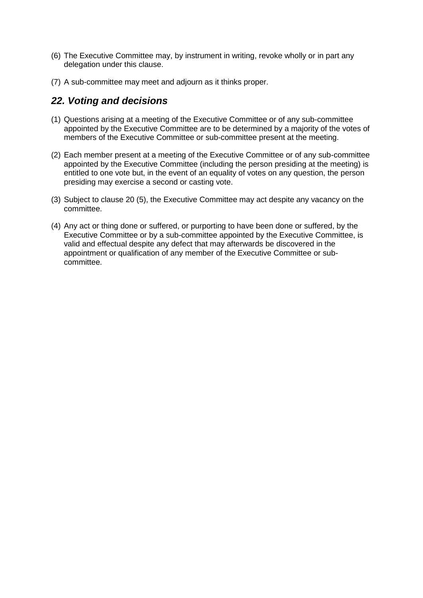- (6) The Executive Committee may, by instrument in writing, revoke wholly or in part any delegation under this clause.
- (7) A sub-committee may meet and adjourn as it thinks proper.

# *22. Voting and decisions*

- (1) Questions arising at a meeting of the Executive Committee or of any sub-committee appointed by the Executive Committee are to be determined by a majority of the votes of members of the Executive Committee or sub-committee present at the meeting.
- (2) Each member present at a meeting of the Executive Committee or of any sub-committee appointed by the Executive Committee (including the person presiding at the meeting) is entitled to one vote but, in the event of an equality of votes on any question, the person presiding may exercise a second or casting vote.
- (3) Subject to clause 20 (5), the Executive Committee may act despite any vacancy on the committee.
- (4) Any act or thing done or suffered, or purporting to have been done or suffered, by the Executive Committee or by a sub-committee appointed by the Executive Committee, is valid and effectual despite any defect that may afterwards be discovered in the appointment or qualification of any member of the Executive Committee or sub committee.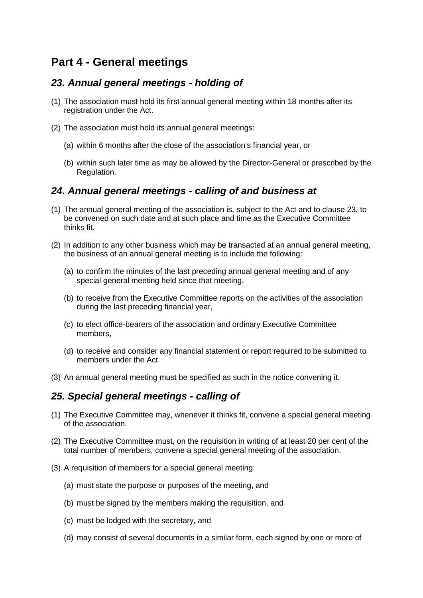# **Part 4 - General meetings**

## *23. Annual general meetings - holding of*

- (1) The association must hold its first annual general meeting within 18 months after its registration under the Act.
- (2) The association must hold its annual general meetings:
	- (a) within 6 months after the close of the association's financial year, or
	- (b) within such later time as may be allowed by the Director-General or prescribed by the Regulation.

### *24. Annual general meetings - calling of and business at*

- (1) The annual general meeting of the association is, subject to the Act and to clause 23, to be convened on such date and at such place and time as the Executive Committee thinks fit.
- (2) In addition to any other business which may be transacted at an annual general meeting, the business of an annual general meeting is to include the following:
	- (a) to confirm the minutes of the last preceding annual general meeting and of any special general meeting held since that meeting,
	- (b) to receive from the Executive Committee reports on the activities of the association during the last preceding financial year,
	- (c) to elect office-bearers of the association and ordinary Executive Committee members,
	- (d) to receive and consider any financial statement or report required to be submitted to members under the Act.
- (3) An annual general meeting must be specified as such in the notice convening it.

### *25. Special general meetings - calling of*

- (1) The Executive Committee may, whenever it thinks fit, convene a special general meeting of the association.
- (2) The Executive Committee must, on the requisition in writing of at least 20 per cent of the total number of members, convene a special general meeting of the association.
- (3) A requisition of members for a special general meeting:
	- (a) must state the purpose or purposes of the meeting, and
	- (b) must be signed by the members making the requisition, and
	- (c) must be lodged with the secretary, and
	- (d) may consist of several documents in a similar form, each signed by one or more of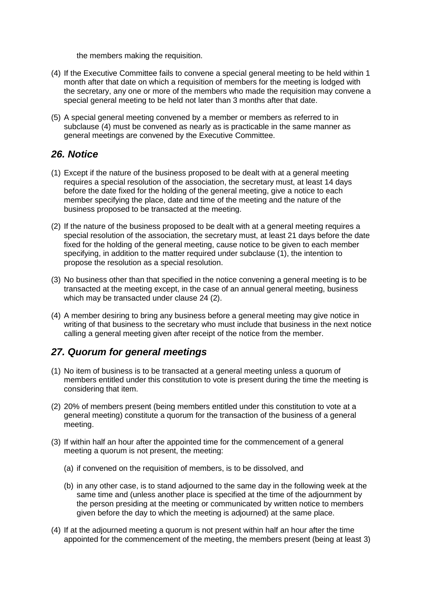the members making the requisition.

- (4) If the Executive Committee fails to convene a special general meeting to be held within 1 month after that date on which a requisition of members for the meeting is lodged with the secretary, any one or more of the members who made the requisition may convene a special general meeting to be held not later than 3 months after that date.
- (5) A special general meeting convened by a member or members as referred to in subclause (4) must be convened as nearly as is practicable in the same manner as general meetings are convened by the Executive Committee.

#### *26. Notice*

- (1) Except if the nature of the business proposed to be dealt with at a general meeting requires a special resolution of the association, the secretary must, at least 14 days before the date fixed for the holding of the general meeting, give a notice to each member specifying the place, date and time of the meeting and the nature of the business proposed to be transacted at the meeting.
- (2) If the nature of the business proposed to be dealt with at a general meeting requires a special resolution of the association, the secretary must, at least 21 days before the date fixed for the holding of the general meeting, cause notice to be given to each member specifying, in addition to the matter required under subclause (1), the intention to propose the resolution as a special resolution.
- (3) No business other than that specified in the notice convening a general meeting is to be transacted at the meeting except, in the case of an annual general meeting, business which may be transacted under clause 24 (2).
- (4) A member desiring to bring any business before a general meeting may give notice in writing of that business to the secretary who must include that business in the next notice calling a general meeting given after receipt of the notice from the member.

# *27. Quorum for general meetings*

- (1) No item of business is to be transacted at a general meeting unless a quorum of members entitled under this constitution to vote is present during the time the meeting is considering that item.
- (2) 20% of members present (being members entitled under this constitution to vote at a general meeting) constitute a quorum for the transaction of the business of a general meeting.
- (3) If within half an hour after the appointed time for the commencement of a general meeting a quorum is not present, the meeting:
	- (a) if convened on the requisition of members, is to be dissolved, and
	- (b) in any other case, is to stand adjourned to the same day in the following week at the same time and (unless another place is specified at the time of the adjournment by the person presiding at the meeting or communicated by written notice to members given before the day to which the meeting is adjourned) at the same place.
- (4) If at the adjourned meeting a quorum is not present within half an hour after the time appointed for the commencement of the meeting, the members present (being at least 3)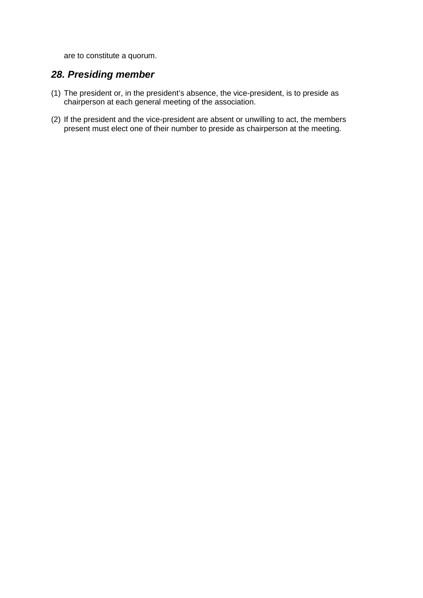are to constitute a quorum.

### *28. Presiding member*

- (1) The president or, in the president's absence, the vice-president, is to preside as chairperson at each general meeting of the association.
- (2) If the president and the vice-president are absent or unwilling to act, the members present must elect one of their number to preside as chairperson at the meeting.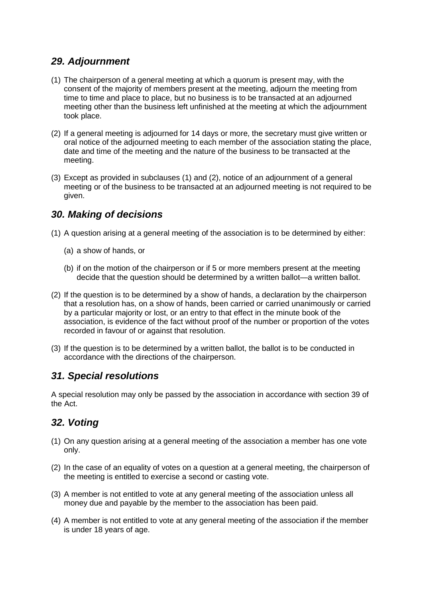# *29. Adjournment*

- (1) The chairperson of a general meeting at which a quorum is present may, with the consent of the majority of members present at the meeting, adjourn the meeting from time to time and place to place, but no business is to be transacted at an adjourned meeting other than the business left unfinished at the meeting at which the adjournment took place.
- (2) If a general meeting is adjourned for 14 days or more, the secretary must give written or oral notice of the adjourned meeting to each member of the association stating the place, date and time of the meeting and the nature of the business to be transacted at the meeting.
- (3) Except as provided in subclauses (1) and (2), notice of an adjournment of a general meeting or of the business to be transacted at an adjourned meeting is not required to be given.

## *30. Making of decisions*

- (1) A question arising at a general meeting of the association is to be determined by either:
	- (a) a show of hands, or
	- (b) if on the motion of the chairperson or if 5 or more members present at the meeting decide that the question should be determined by a written ballot—a written ballot.
- (2) If the question is to be determined by a show of hands, a declaration by the chairperson that a resolution has, on a show of hands, been carried or carried unanimously or carried by a particular majority or lost, or an entry to that effect in the minute book of the association, is evidence of the fact without proof of the number or proportion of the votes recorded in favour of or against that resolution.
- (3) If the question is to be determined by a written ballot, the ballot is to be conducted in accordance with the directions of the chairperson.

# *31. Special resolutions*

A special resolution may only be passed by the association in accordance with section 39 of the Act.

# *32. Voting*

- (1) On any question arising at a general meeting of the association a member has one vote only.
- (2) In the case of an equality of votes on a question at a general meeting, the chairperson of the meeting is entitled to exercise a second or casting vote.
- (3) A member is not entitled to vote at any general meeting of the association unless all money due and payable by the member to the association has been paid.
- (4) A member is not entitled to vote at any general meeting of the association if the member is under 18 years of age.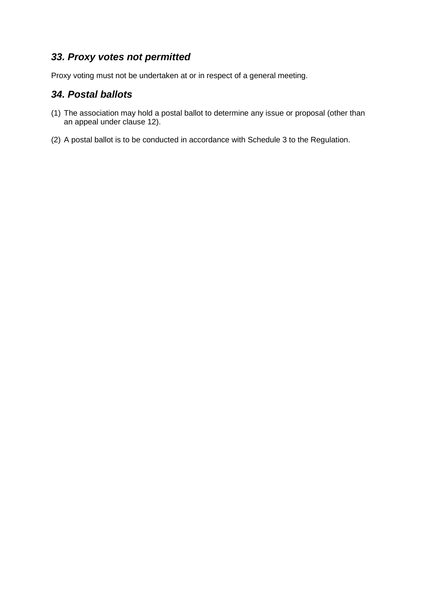## *33. Proxy votes not permitted*

Proxy voting must not be undertaken at or in respect of a general meeting.

## *34. Postal ballots*

- (1) The association may hold a postal ballot to determine any issue or proposal (other than an appeal under clause 12).
- (2) A postal ballot is to be conducted in accordance with Schedule 3 to the Regulation.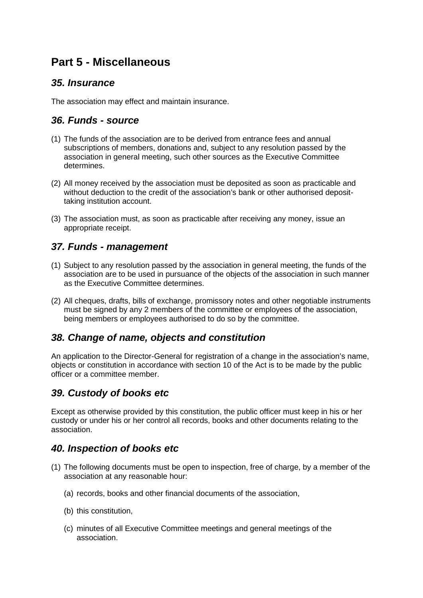# **Part 5 - Miscellaneous**

#### *35. Insurance*

The association may effect and maintain insurance.

# *36. Funds - source*

- (1) The funds of the association are to be derived from entrance fees and annual subscriptions of members, donations and, subject to any resolution passed by the association in general meeting, such other sources as the Executive Committee determines.
- (2) All money received by the association must be deposited as soon as practicable and without deduction to the credit of the association's bank or other authorised deposittaking institution account.
- (3) The association must, as soon as practicable after receiving any money, issue an appropriate receipt.

### *37. Funds - management*

- (1) Subject to any resolution passed by the association in general meeting, the funds of the association are to be used in pursuance of the objects of the association in such manner as the Executive Committee determines.
- (2) All cheques, drafts, bills of exchange, promissory notes and other negotiable instruments must be signed by any 2 members of the committee or employees of the association, being members or employees authorised to do so by the committee.

### *38. Change of name, objects and constitution*

An application to the Director-General for registration of a change in the association's name, objects or constitution in accordance with section 10 of the Act is to be made by the public officer or a committee member.

# *39. Custody of books etc*

Except as otherwise provided by this constitution, the public officer must keep in his or her custody or under his or her control all records, books and other documents relating to the association.

# *40. Inspection of books etc*

- (1) The following documents must be open to inspection, free of charge, by a member of the association at any reasonable hour:
	- (a) records, books and other financial documents of the association,
	- (b) this constitution,
	- (c) minutes of all Executive Committee meetings and general meetings of the association.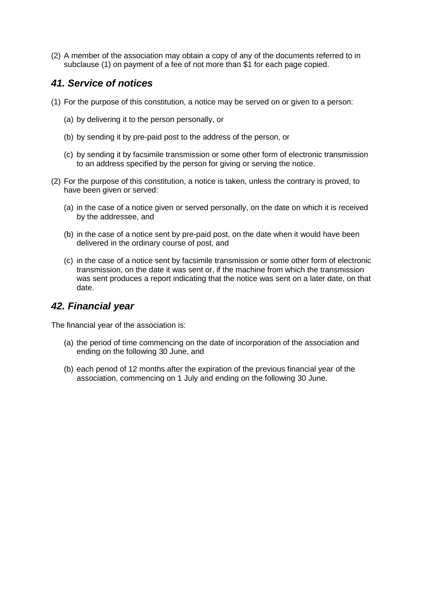(2) A member of the association may obtain a copy of any of the documents referred to in subclause (1) on payment of a fee of not more than \$1 for each page copied.

## *41. Service of notices*

- (1) For the purpose of this constitution, a notice may be served on or given to a person:
	- (a) by delivering it to the person personally, or
	- (b) by sending it by pre-paid post to the address of the person, or
	- (c) by sending it by facsimile transmission or some other form of electronic transmission to an address specified by the person for giving or serving the notice.
- (2) For the purpose of this constitution, a notice is taken, unless the contrary is proved, to have been given or served:
	- (a) in the case of a notice given or served personally, on the date on which it is received by the addressee, and
	- (b) in the case of a notice sent by pre-paid post, on the date when it would have been delivered in the ordinary course of post, and
	- (c) in the case of a notice sent by facsimile transmission or some other form of electronic transmission, on the date it was sent or, if the machine from which the transmission was sent produces a report indicating that the notice was sent on a later date, on that date.

### *42. Financial year*

The financial year of the association is:

- (a) the period of time commencing on the date of incorporation of the association and ending on the following 30 June, and
- (b) each period of 12 months after the expiration of the previous financial year of the association, commencing on 1 July and ending on the following 30 June.